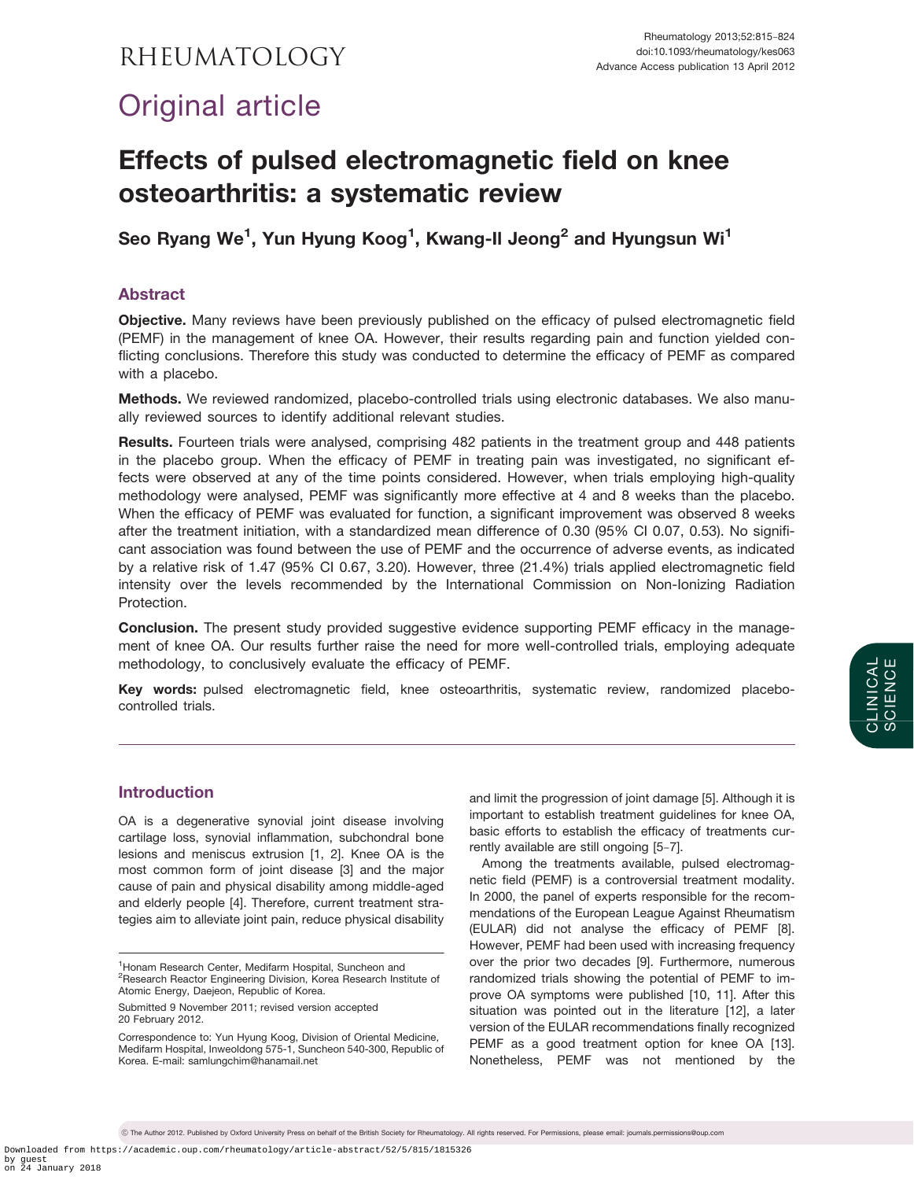## RHEUMATOLOGY

# Original article

## Effects of pulsed electromagnetic field on knee osteoarthritis: a systematic review

Seo Ryang We<sup>1</sup>, Yun Hyung Koog<sup>1</sup>, Kwang-II Jeong<sup>2</sup> and Hyungsun Wi<sup>1</sup>

### Abstract

Objective. Many reviews have been previously published on the efficacy of pulsed electromagnetic field (PEMF) in the management of knee OA. However, their results regarding pain and function yielded conflicting conclusions. Therefore this study was conducted to determine the efficacy of PEMF as compared with a placebo.

Methods. We reviewed randomized, placebo-controlled trials using electronic databases. We also manually reviewed sources to identify additional relevant studies.

Results. Fourteen trials were analysed, comprising 482 patients in the treatment group and 448 patients in the placebo group. When the efficacy of PEMF in treating pain was investigated, no significant effects were observed at any of the time points considered. However, when trials employing high-quality methodology were analysed, PEMF was significantly more effective at 4 and 8 weeks than the placebo. When the efficacy of PEMF was evaluated for function, a significant improvement was observed 8 weeks after the treatment initiation, with a standardized mean difference of 0.30 (95% CI 0.07, 0.53). No significant association was found between the use of PEMF and the occurrence of adverse events, as indicated by a relative risk of 1.47 (95% CI 0.67, 3.20). However, three (21.4%) trials applied electromagnetic field intensity over the levels recommended by the International Commission on Non-Ionizing Radiation Protection.

Conclusion. The present study provided suggestive evidence supporting PEMF efficacy in the management of knee OA. Our results further raise the need for more well-controlled trials, employing adequate methodology, to conclusively evaluate the efficacy of PEMF.

Key words: pulsed electromagnetic field, knee osteoarthritis, systematic review, randomized placebocontrolled trials.

# **CLINICAL**<br>SCIENCE CLINICAL SCIENCE

### Introduction

OA is a degenerative synovial joint disease involving cartilage loss, synovial inflammation, subchondral bone lesions and meniscus extrusion [\[1, 2](#page-7-0)]. Knee OA is the most common form of joint disease [[3\]](#page-7-0) and the major cause of pain and physical disability among middle-aged and elderly people [\[4\]](#page-7-0). Therefore, current treatment strategies aim to alleviate joint pain, reduce physical disability

Submitted 9 November 2011; revised version accepted 20 February 2012.

and limit the progression of joint damage [[5](#page-7-0)]. Although it is important to establish treatment guidelines for knee OA, basic efforts to establish the efficacy of treatments currently available are still ongoing [\[5](#page-7-0)-[7\]](#page-7-0).

Among the treatments available, pulsed electromagnetic field (PEMF) is a controversial treatment modality. In 2000, the panel of experts responsible for the recommendations of the European League Against Rheumatism (EULAR) did not analyse the efficacy of PEMF [[8](#page-8-0)]. However, PEMF had been used with increasing frequency over the prior two decades [[9\]](#page-8-0). Furthermore, numerous randomized trials showing the potential of PEMF to improve OA symptoms were published [\[10, 11](#page-8-0)]. After this situation was pointed out in the literature [[12](#page-8-0)], a later version of the EULAR recommendations finally recognized PEMF as a good treatment option for knee OA [[13](#page-8-0)]. Nonetheless, PEMF was not mentioned by the

! The Author 2012. Published by Oxford University Press on behalf of the British Society for Rheumatology. All rights reserved. For Permissions, please email: journals.permissions@oup.com

Downloaded from https://academic.oup.com/rheumatology/article-abstract/52/5/815/1815326 by guest on 24 January 2018

<sup>&</sup>lt;sup>1</sup> Honam Research Center, Medifarm Hospital, Suncheon and <sup>2</sup>Research Reactor Engineering Division, Korea Research Institute of Atomic Energy, Daejeon, Republic of Korea.

Correspondence to: Yun Hyung Koog, Division of Oriental Medicine, Medifarm Hospital, Inweoldong 575-1, Suncheon 540-300, Republic of Korea. E-mail: samlungchim@hanamail.net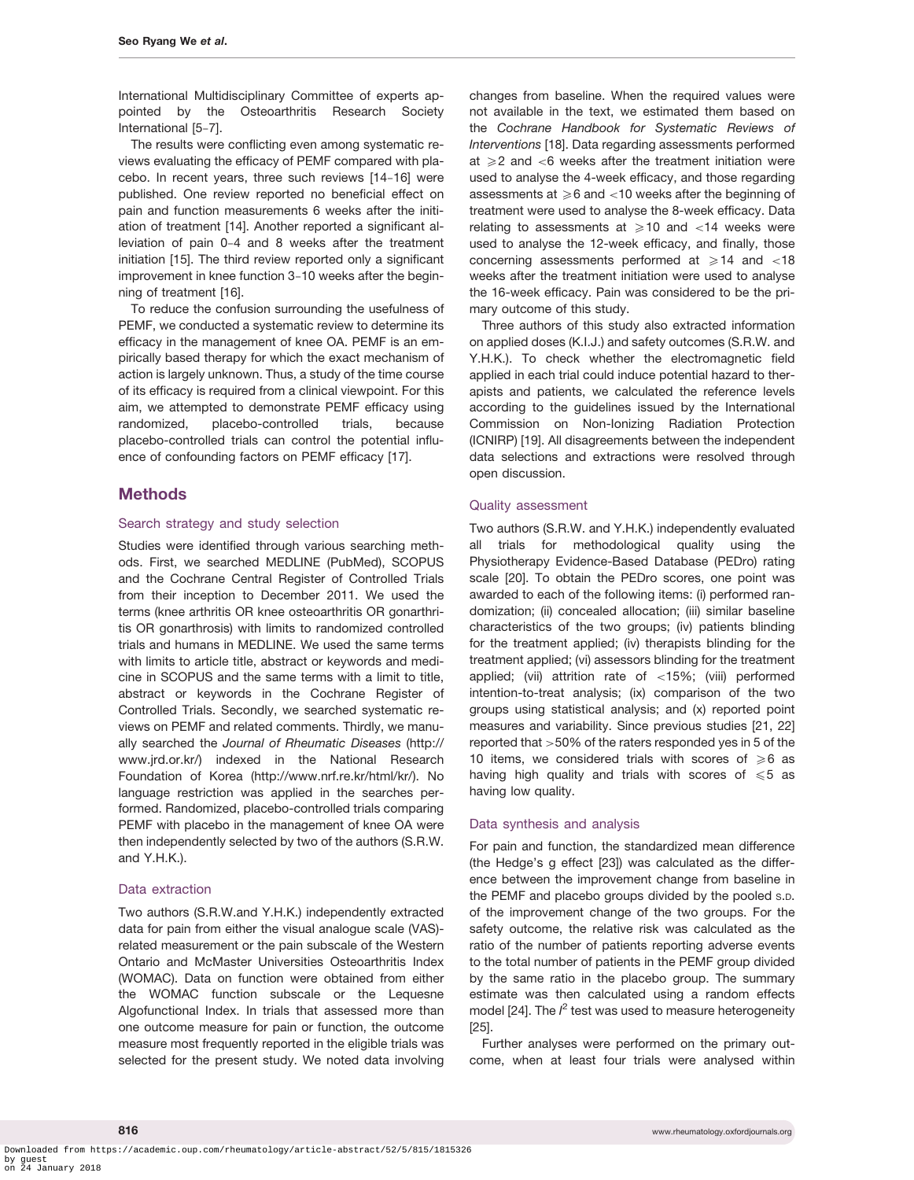International Multidisciplinary Committee of experts appointed by the Osteoarthritis Research Society International [\[5](#page-7-0)-[7\]](#page-7-0).

The results were conflicting even among systematic reviews evaluating the efficacy of PEMF compared with placebo. In recent years, three such reviews [\[14](#page-8-0)-[16](#page-8-0)] were published. One review reported no beneficial effect on pain and function measurements 6 weeks after the initiation of treatment [\[14\]](#page-8-0). Another reported a significant alleviation of pain 0-4 and 8 weeks after the treatment initiation [\[15](#page-8-0)]. The third review reported only a significant improvement in knee function 3-10 weeks after the beginning of treatment [[16](#page-8-0)].

To reduce the confusion surrounding the usefulness of PEMF, we conducted a systematic review to determine its efficacy in the management of knee OA. PEMF is an empirically based therapy for which the exact mechanism of action is largely unknown. Thus, a study of the time course of its efficacy is required from a clinical viewpoint. For this aim, we attempted to demonstrate PEMF efficacy using randomized, placebo-controlled trials, because placebo-controlled trials can control the potential influence of confounding factors on PEMF efficacy [\[17\]](#page-8-0).

#### Methods

#### Search strategy and study selection

Studies were identified through various searching methods. First, we searched MEDLINE (PubMed), SCOPUS and the Cochrane Central Register of Controlled Trials from their inception to December 2011. We used the terms (knee arthritis OR knee osteoarthritis OR gonarthritis OR gonarthrosis) with limits to randomized controlled trials and humans in MEDLINE. We used the same terms with limits to article title, abstract or keywords and medicine in SCOPUS and the same terms with a limit to title, abstract or keywords in the Cochrane Register of Controlled Trials. Secondly, we searched systematic reviews on PEMF and related comments. Thirdly, we manually searched the Journal of Rheumatic Diseases ([http://](http://www.jrd.or.kr/) [www.jrd.or.kr/](http://www.jrd.or.kr/)) indexed in the National Research Foundation of Korea [\(http://www.nrf.re.kr/html/kr/\)](http://www.nrf.re.kr/html/kr/). No language restriction was applied in the searches performed. Randomized, placebo-controlled trials comparing PEMF with placebo in the management of knee OA were then independently selected by two of the authors (S.R.W. and Y.H.K.).

#### Data extraction

Two authors (S.R.W.and Y.H.K.) independently extracted data for pain from either the visual analogue scale (VAS) related measurement or the pain subscale of the Western Ontario and McMaster Universities Osteoarthritis Index (WOMAC). Data on function were obtained from either the WOMAC function subscale or the Lequesne Algofunctional Index. In trials that assessed more than one outcome measure for pain or function, the outcome measure most frequently reported in the eligible trials was selected for the present study. We noted data involving

changes from baseline. When the required values were not available in the text, we estimated them based on the Cochrane Handbook for Systematic Reviews of Interventions [\[18\]](#page-8-0). Data regarding assessments performed at  $\geq 2$  and <6 weeks after the treatment initiation were used to analyse the 4-week efficacy, and those regarding assessments at  $\geqslant 6$  and <10 weeks after the beginning of treatment were used to analyse the 8-week efficacy. Data relating to assessments at  $\geq 10$  and <14 weeks were used to analyse the 12-week efficacy, and finally, those concerning assessments performed at  $\geq 14$  and  $\lt 18$ weeks after the treatment initiation were used to analyse the 16-week efficacy. Pain was considered to be the primary outcome of this study.

Three authors of this study also extracted information on applied doses (K.I.J.) and safety outcomes (S.R.W. and Y.H.K.). To check whether the electromagnetic field applied in each trial could induce potential hazard to therapists and patients, we calculated the reference levels according to the guidelines issued by the International Commission on Non-Ionizing Radiation Protection (ICNIRP) [\[19\]](#page-8-0). All disagreements between the independent data selections and extractions were resolved through open discussion.

#### Quality assessment

Two authors (S.R.W. and Y.H.K.) independently evaluated all trials for methodological quality using the Physiotherapy Evidence-Based Database (PEDro) rating scale [[20](#page-8-0)]. To obtain the PEDro scores, one point was awarded to each of the following items: (i) performed randomization; (ii) concealed allocation; (iii) similar baseline characteristics of the two groups; (iv) patients blinding for the treatment applied; (iv) therapists blinding for the treatment applied; (vi) assessors blinding for the treatment applied; (vii) attrition rate of <15%; (viii) performed intention-to-treat analysis; (ix) comparison of the two groups using statistical analysis; and (x) reported point measures and variability. Since previous studies [\[21, 22\]](#page-8-0) reported that >50% of the raters responded yes in 5 of the 10 items, we considered trials with scores of  $\geq 6$  as having high quality and trials with scores of  $\leq 5$  as having low quality.

#### Data synthesis and analysis

For pain and function, the standardized mean difference (the Hedge's g effect [\[23\]](#page-8-0)) was calculated as the difference between the improvement change from baseline in the PEMF and placebo groups divided by the pooled S.D. of the improvement change of the two groups. For the safety outcome, the relative risk was calculated as the ratio of the number of patients reporting adverse events to the total number of patients in the PEMF group divided by the same ratio in the placebo group. The summary estimate was then calculated using a random effects model [[24\]](#page-8-0). The  $l^2$  test was used to measure heterogeneity [[25](#page-8-0)].

Further analyses were performed on the primary outcome, when at least four trials were analysed within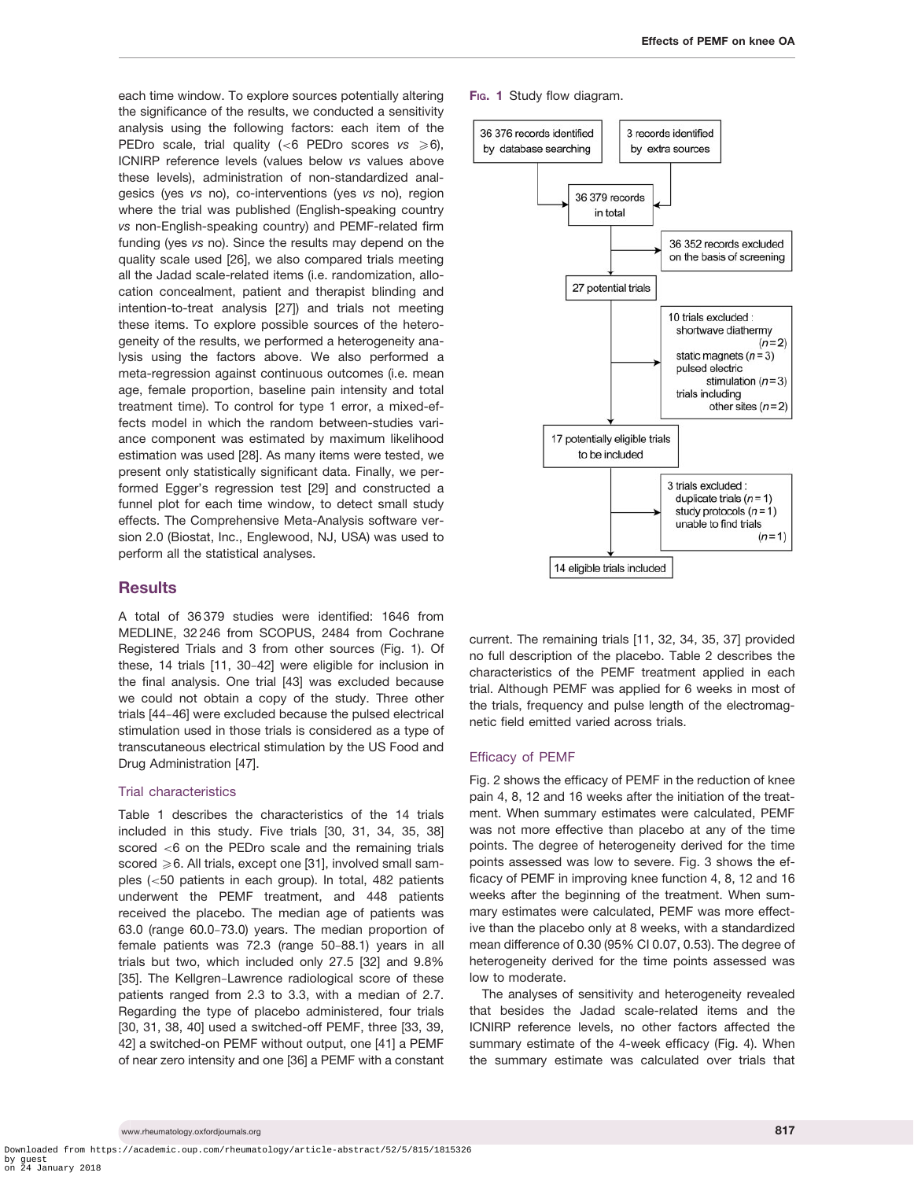each time window. To explore sources potentially altering the significance of the results, we conducted a sensitivity analysis using the following factors: each item of the PEDro scale, trial quality (<6 PEDro scores  $vs \ge 6$ ), ICNIRP reference levels (values below vs values above these levels), administration of non-standardized analgesics (yes vs no), co-interventions (yes vs no), region where the trial was published (English-speaking country vs non-English-speaking country) and PEMF-related firm funding (yes vs no). Since the results may depend on the quality scale used [\[26\]](#page-8-0), we also compared trials meeting all the Jadad scale-related items (i.e. randomization, allocation concealment, patient and therapist blinding and intention-to-treat analysis [[27](#page-8-0)]) and trials not meeting these items. To explore possible sources of the heterogeneity of the results, we performed a heterogeneity analysis using the factors above. We also performed a meta-regression against continuous outcomes (i.e. mean age, female proportion, baseline pain intensity and total treatment time). To control for type 1 error, a mixed-effects model in which the random between-studies variance component was estimated by maximum likelihood estimation was used [\[28](#page-8-0)]. As many items were tested, we present only statistically significant data. Finally, we performed Egger's regression test [[29](#page-8-0)] and constructed a funnel plot for each time window, to detect small study effects. The Comprehensive Meta-Analysis software version 2.0 (Biostat, Inc., Englewood, NJ, USA) was used to perform all the statistical analyses.

#### **Results**

A total of 36 379 studies were identified: 1646 from MEDLINE, 32 246 from SCOPUS, 2484 from Cochrane Registered Trials and 3 from other sources (Fig. 1). Of these, 14 trials [\[11, 30](#page-8-0)-[42\]](#page-8-0) were eligible for inclusion in the final analysis. One trial [[43\]](#page-9-0) was excluded because we could not obtain a copy of the study. Three other trials [[44](#page-9-0)-[46\]](#page-9-0) were excluded because the pulsed electrical stimulation used in those trials is considered as a type of transcutaneous electrical stimulation by the US Food and Drug Administration [[47](#page-9-0)].

### Trial characteristics

[Table 1](#page-3-0) describes the characteristics of the 14 trials included in this study. Five trials [[30](#page-8-0), [31, 34](#page-8-0), [35,](#page-8-0) [38](#page-9-0)] scored <6 on the PEDro scale and the remaining trials scored  $\geq 6$ . All trials, except one [\[31\]](#page-8-0), involved small samples (<50 patients in each group). In total, 482 patients underwent the PEMF treatment, and 448 patients received the placebo. The median age of patients was 63.0 (range 60.0-73.0) years. The median proportion of female patients was 72.3 (range 50-88.1) years in all trials but two, which included only 27.5 [\[32\]](#page-8-0) and 9.8% [[35\]](#page-8-0). The Kellgren-Lawrence radiological score of these patients ranged from 2.3 to 3.3, with a median of 2.7. Regarding the type of placebo administered, four trials [[30, 31,](#page-8-0) [38](#page-9-0), [40\]](#page-9-0) used a switched-off PEMF, three [\[33,](#page-8-0) [39](#page-9-0), [42\]](#page-9-0) a switched-on PEMF without output, one [[41\]](#page-9-0) a PEMF of near zero intensity and one [[36](#page-8-0)] a PEMF with a constant

#### FIG. 1 Study flow diagram.



current. The remaining trials [[11](#page-8-0), [32, 34](#page-8-0), [35,](#page-8-0) [37](#page-9-0)] provided no full description of the placebo. [Table 2](#page-4-0) describes the characteristics of the PEMF treatment applied in each trial. Although PEMF was applied for 6 weeks in most of the trials, frequency and pulse length of the electromagnetic field emitted varied across trials.

#### Efficacy of PEMF

Fig. 2 shows the efficacy of PEMF in the reduction of knee pain 4, 8, 12 and 16 weeks after the initiation of the treatment. When summary estimates were calculated, PEMF was not more effective than placebo at any of the time points. The degree of heterogeneity derived for the time points assessed was low to severe. Fig. 3 shows the efficacy of PEMF in improving knee function 4, 8, 12 and 16 weeks after the beginning of the treatment. When summary estimates were calculated, PEMF was more effective than the placebo only at 8 weeks, with a standardized mean difference of 0.30 (95% CI 0.07, 0.53). The degree of heterogeneity derived for the time points assessed was low to moderate.

The analyses of sensitivity and heterogeneity revealed that besides the Jadad scale-related items and the ICNIRP reference levels, no other factors affected the summary estimate of the 4-week efficacy [\(Fig. 4](#page-6-0)). When the summary estimate was calculated over trials that

Downloaded from https://academic.oup.com/rheumatology/article-abstract/52/5/815/1815326 by guest on 24 January 2018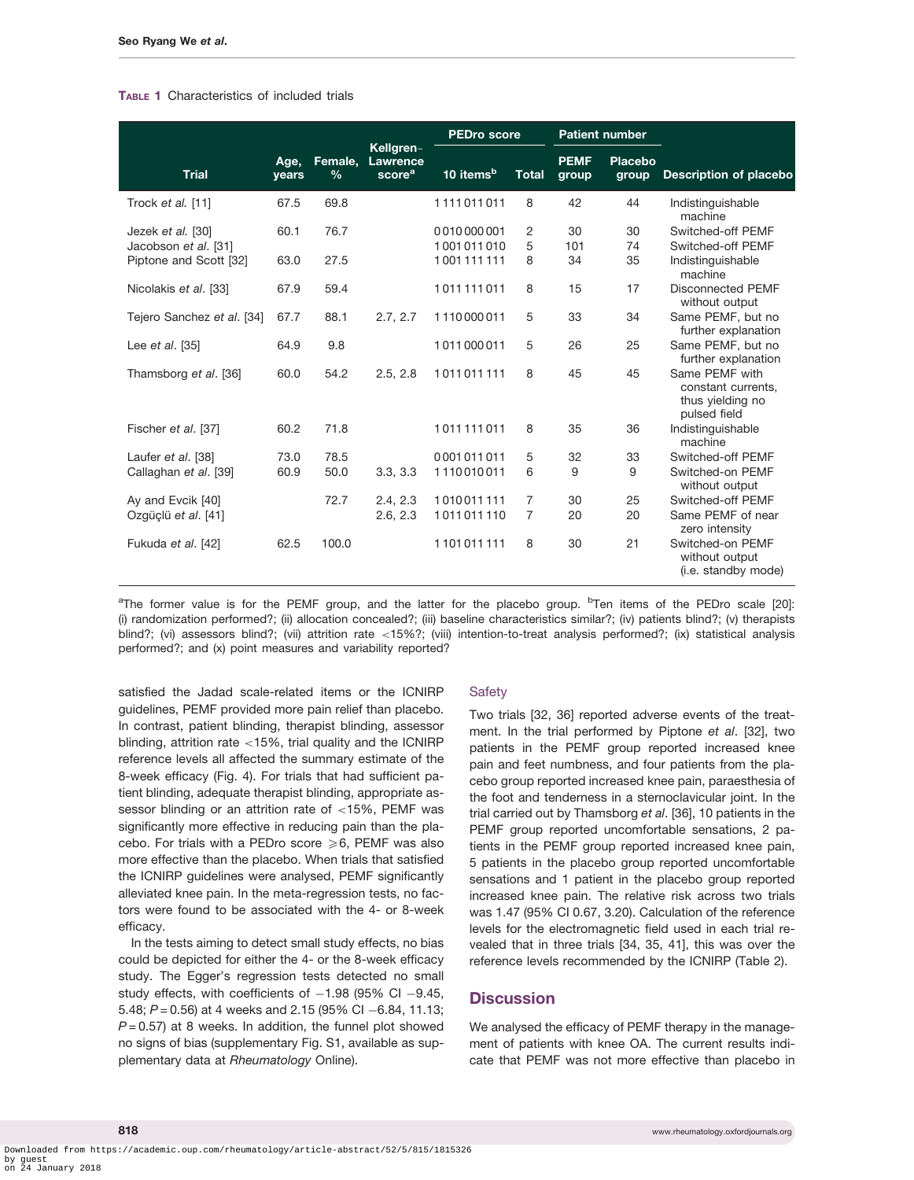#### <span id="page-3-0"></span>TABLE 1 Characteristics of included trials

|                            |               |                          |                                             | <b>PEDro score</b>                    |   |                      | <b>Patient number</b>   |                                                                          |  |  |
|----------------------------|---------------|--------------------------|---------------------------------------------|---------------------------------------|---|----------------------|-------------------------|--------------------------------------------------------------------------|--|--|
| <b>Trial</b>               | Age,<br>years | Female,<br>$\frac{0}{0}$ | Kellgren-<br>Lawrence<br>score <sup>a</sup> | 10 items <sup>b</sup><br><b>Total</b> |   | <b>PEMF</b><br>group | <b>Placebo</b><br>group | <b>Description of placebo</b>                                            |  |  |
| Trock et al. [11]          | 67.5          | 69.8                     |                                             | 1111011011                            | 8 | 42                   | 44                      | Indistinguishable<br>machine                                             |  |  |
| Jezek et al. [30]          | 60.1          | 76.7                     |                                             | 0010000001                            | 2 | 30                   | 30                      | Switched-off PEMF                                                        |  |  |
| Jacobson et al. [31]       |               |                          |                                             | 1001011010                            | 5 | 101                  | 74                      | Switched-off PEMF                                                        |  |  |
| Piptone and Scott [32]     | 63.0          | 27.5                     |                                             | 1001111111                            | 8 | 34                   | 35                      | Indistinguishable<br>machine                                             |  |  |
| Nicolakis et al. [33]      | 67.9          | 59.4                     |                                             | 1011111011                            | 8 | 15                   | 17                      | Disconnected PEMF<br>without output                                      |  |  |
| Tejero Sanchez et al. [34] | 67.7          | 88.1                     | 2.7, 2.7                                    | 1110000011                            | 5 | 33                   | 34                      | Same PEMF, but no<br>further explanation                                 |  |  |
| Lee et al. [35]            | 64.9          | 9.8                      |                                             | 1011000011                            | 5 | 26                   | 25                      | Same PEMF, but no<br>further explanation                                 |  |  |
| Thamsborg et al. [36]      | 60.0          | 54.2                     | 2.5, 2.8                                    | 1011011111                            | 8 | 45                   | 45                      | Same PEMF with<br>constant currents,<br>thus yielding no<br>pulsed field |  |  |
| Fischer et al. [37]        | 60.2          | 71.8                     |                                             | 1011111011                            | 8 | 35                   | 36                      | Indistinguishable<br>machine                                             |  |  |
| Laufer et al. [38]         | 73.0          | 78.5                     |                                             | 0001011011                            | 5 | 32                   | 33                      | Switched-off PEMF                                                        |  |  |
| Callaghan et al. [39]      | 60.9          | 50.0                     | 3.3, 3.3                                    | 1110010011                            | 6 | 9                    | 9                       | Switched-on PEMF<br>without output                                       |  |  |
| Ay and Evcik [40]          |               | 72.7                     | 2.4, 2.3                                    | 1010011111                            | 7 | 30                   | 25                      | Switched-off PEMF                                                        |  |  |
| Ozgüçlü et al. [41]        |               |                          | 2.6, 2.3                                    | 1011011110                            | 7 | 20                   | 20                      | Same PEMF of near<br>zero intensity                                      |  |  |
| Fukuda et al. [42]         | 62.5          | 100.0                    |                                             | 1101011111                            | 8 | 30                   | 21                      | Switched-on PEMF<br>without output<br>(i.e. standby mode)                |  |  |

<sup>a</sup>The former value is for the PEMF group, and the latter for the placebo group. <sup>b</sup>Ten items of the PEDro scale [[20\]](#page-8-0): (i) randomization performed?; (ii) allocation concealed?; (iii) baseline characteristics similar?; (iv) patients blind?; (v) therapists blind?; (vi) assessors blind?; (vii) attrition rate <15%?; (viii) intention-to-treat analysis performed?; (ix) statistical analysis performed?; and (x) point measures and variability reported?

satisfied the Jadad scale-related items or the ICNIRP guidelines, PEMF provided more pain relief than placebo. In contrast, patient blinding, therapist blinding, assessor blinding, attrition rate <15%, trial quality and the ICNIRP reference levels all affected the summary estimate of the 8-week efficacy [\(Fig. 4](#page-6-0)). For trials that had sufficient patient blinding, adequate therapist blinding, appropriate assessor blinding or an attrition rate of <15%, PEMF was significantly more effective in reducing pain than the placebo. For trials with a PEDro score  $\geq 6$ , PEMF was also more effective than the placebo. When trials that satisfied the ICNIRP guidelines were analysed, PEMF significantly alleviated knee pain. In the meta-regression tests, no factors were found to be associated with the 4- or 8-week efficacy.

In the tests aiming to detect small study effects, no bias could be depicted for either the 4- or the 8-week efficacy study. The Egger's regression tests detected no small study effects, with coefficients of -1.98 (95% CI -9.45, 5.48; P = 0.56) at 4 weeks and 2.15 (95% CI -6.84, 11.13;  $P = 0.57$ ) at 8 weeks. In addition, the funnel plot showed no signs of bias ([supplementary Fig. S1,](http://rheumatology.oxfordjournals.org/cgi/content/full/kes063/DC1) available as [sup](http://rheumatology.oxfordjournals.org/cgi/content/full/kes063/DC1)[plementary data](http://rheumatology.oxfordjournals.org/cgi/content/full/kes063/DC1) at Rheumatology Online).

#### **Safety**

Two trials [[32](#page-8-0), [36\]](#page-8-0) reported adverse events of the treatment. In the trial performed by Piptone et al. [[32](#page-8-0)], two patients in the PEMF group reported increased knee pain and feet numbness, and four patients from the placebo group reported increased knee pain, paraesthesia of the foot and tenderness in a sternoclavicular joint. In the trial carried out by Thamsborg et al. [\[36\]](#page-8-0), 10 patients in the PEMF group reported uncomfortable sensations, 2 patients in the PEMF group reported increased knee pain, 5 patients in the placebo group reported uncomfortable sensations and 1 patient in the placebo group reported increased knee pain. The relative risk across two trials was 1.47 (95% CI 0.67, 3.20). Calculation of the reference levels for the electromagnetic field used in each trial revealed that in three trials [[34, 35](#page-8-0), [41](#page-9-0)], this was over the reference levels recommended by the ICNIRP [\(Table 2\)](#page-4-0).

### **Discussion**

We analysed the efficacy of PEMF therapy in the management of patients with knee OA. The current results indicate that PEMF was not more effective than placebo in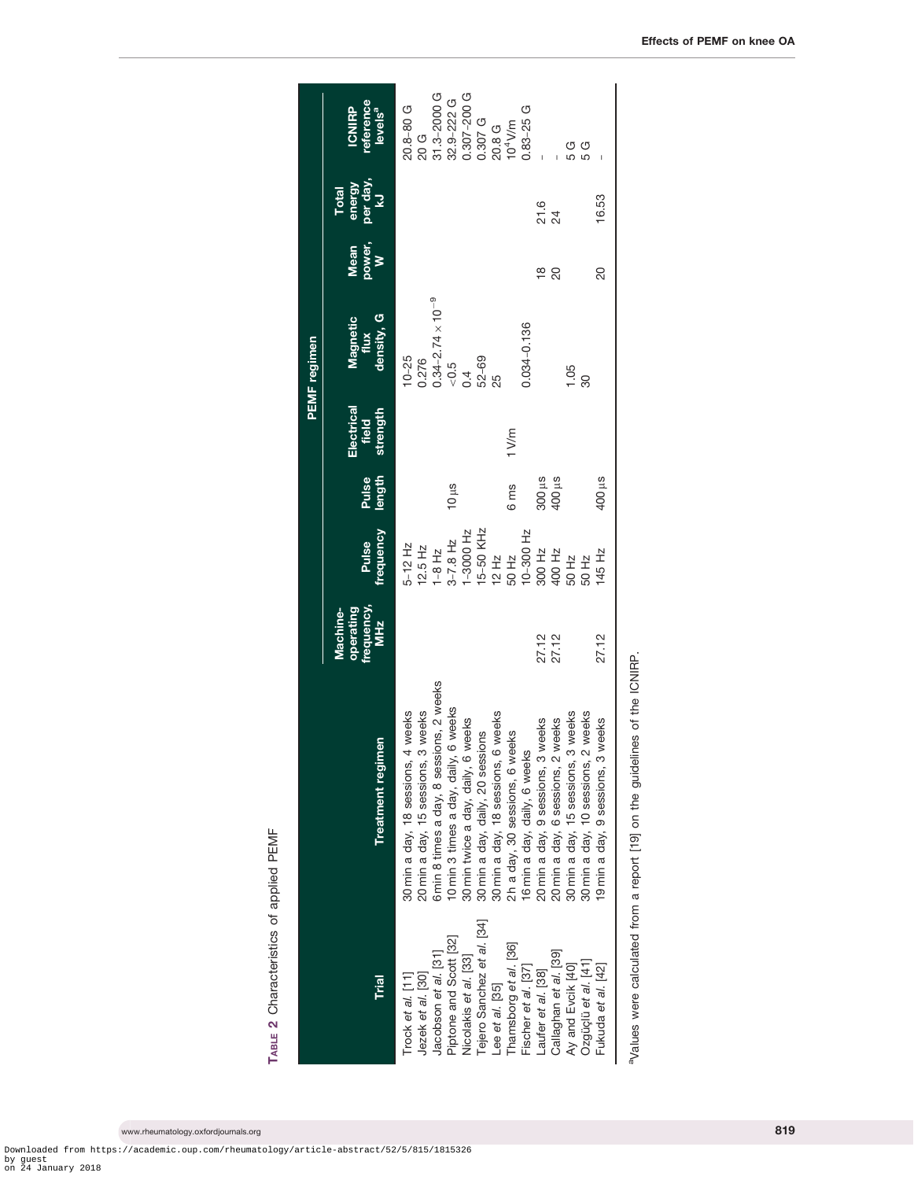TABLE 2 Characteristics of applied PEMF TABLE 2 Characteristics of applied PEMF

<span id="page-4-0"></span>

|                            |                                                                                         |                                            |                    |                    |                                      | PEMF regimen                         |                     |                                          |                                                   |
|----------------------------|-----------------------------------------------------------------------------------------|--------------------------------------------|--------------------|--------------------|--------------------------------------|--------------------------------------|---------------------|------------------------------------------|---------------------------------------------------|
| Trial                      | Treatment regimen                                                                       | frequency,<br>MHz<br>operating<br>Machine- | Pulse<br>frequency | length<br>Pulse    | Electrical<br>strength<br><b>SOB</b> | density, G<br>Magnetic<br>flux       | power,<br>W<br>Mean | energy<br>per day,<br>kJ<br><b>Total</b> | reference<br>levels <sup>a</sup><br><b>ICNIRP</b> |
| Trock et al. [11]          | 30 min a day, 18 sessions, 4 weeks                                                      |                                            | $5 - 12$ Hz        |                    |                                      | $10 - 25$                            |                     |                                          | 20.8-80 G                                         |
| Jezek et al. [30]          | 20 min a day, 15 sessions, 3 weeks                                                      |                                            | 12.5 Hz            |                    |                                      | 0.276                                |                     |                                          | 20 G                                              |
| Jacobson et al. [31]       | 6 min 8 times a day, 8 sessions, 2 weeks                                                |                                            | $-8$ Hz            |                    |                                      |                                      |                     |                                          | 31.3-2000 G                                       |
| Piptone and Scott [32]     | 10 min 3 times a day, daily, 6 weeks                                                    |                                            | $3 - 7.8$ Hz       | $10 \mu s$         |                                      | $0.34 - 2.74 \times 10^{-9}$<br><0.5 |                     |                                          | $32.9 - 222$ G                                    |
| Nicolakis et al. [33]      | 30 min twice a day, daily, 6 weeks                                                      |                                            | $-3000$ Hz         |                    |                                      |                                      |                     |                                          | $0.307 - 200G$                                    |
| Tejero Sanchez et al. [34] | 30 min a day, daily, 20 sessions                                                        |                                            | 15-50 KHz<br>12 Hz |                    |                                      | $0.4$<br>52-69<br>25                 |                     |                                          | 0.307 G                                           |
| Lee <i>et al</i> . [35]    | 30 min a day, 18 sessions, 6 weeks                                                      |                                            |                    |                    |                                      |                                      |                     |                                          | $20.8 G$<br>10 <sup>4</sup> V/m                   |
| Thamsborg et al. [36]      | 2h a day, 30 sessions, 6 weeks                                                          |                                            | 50 Hz              | 6 ms               | $1$ $V/m$                            |                                      |                     |                                          |                                                   |
| Fischer et al. [37]        | 16 min a day, daily, 6 weeks                                                            |                                            | $-300$ Hz          |                    |                                      | 0.034-0.136                          |                     |                                          | $0.83 - 25$ G                                     |
| Laufer et al. [38]         | 20 min a day, 9 sessions, 3 weeks                                                       | 27.12<br>27.12                             | 300 Hz             |                    |                                      |                                      | $\frac{\infty}{1}$  | 21.6<br>24                               |                                                   |
| Callaghan et al. [39]      | 20 min a day, 6 sessions, 2 weeks                                                       |                                            | 400 Hz             | sn 00t<br>400 hz   |                                      |                                      | 20                  |                                          |                                                   |
| Ay and Evcik [40]          | 30 min a day, 15 sessions, 3 weeks                                                      |                                            | 50 Hz              |                    |                                      | 1.05                                 |                     |                                          | σ                                                 |
| Ozgüçlü et al. [41]        | weeks<br>30 min a day, 10 sessions, 2                                                   |                                            | 50 Hz              |                    |                                      | 80                                   |                     |                                          | 5 G                                               |
| Fukuda et al. [42]         | veeks<br>19 min a day, 9 sessions, 3 w                                                  | 27.12                                      | 145 Hz             | s <sup>11</sup> 00 |                                      |                                      | $\overline{20}$     | 16.53                                    |                                                   |
|                            | <sup>a</sup> Values were calculated from a report [19] on the guidelines of the ICNIRP. |                                            |                    |                    |                                      |                                      |                     |                                          |                                                   |

Downloaded from https://academic.oup.com/rheumatology/article-abstract/52/5/815/1815326 by guest on 24 January 2018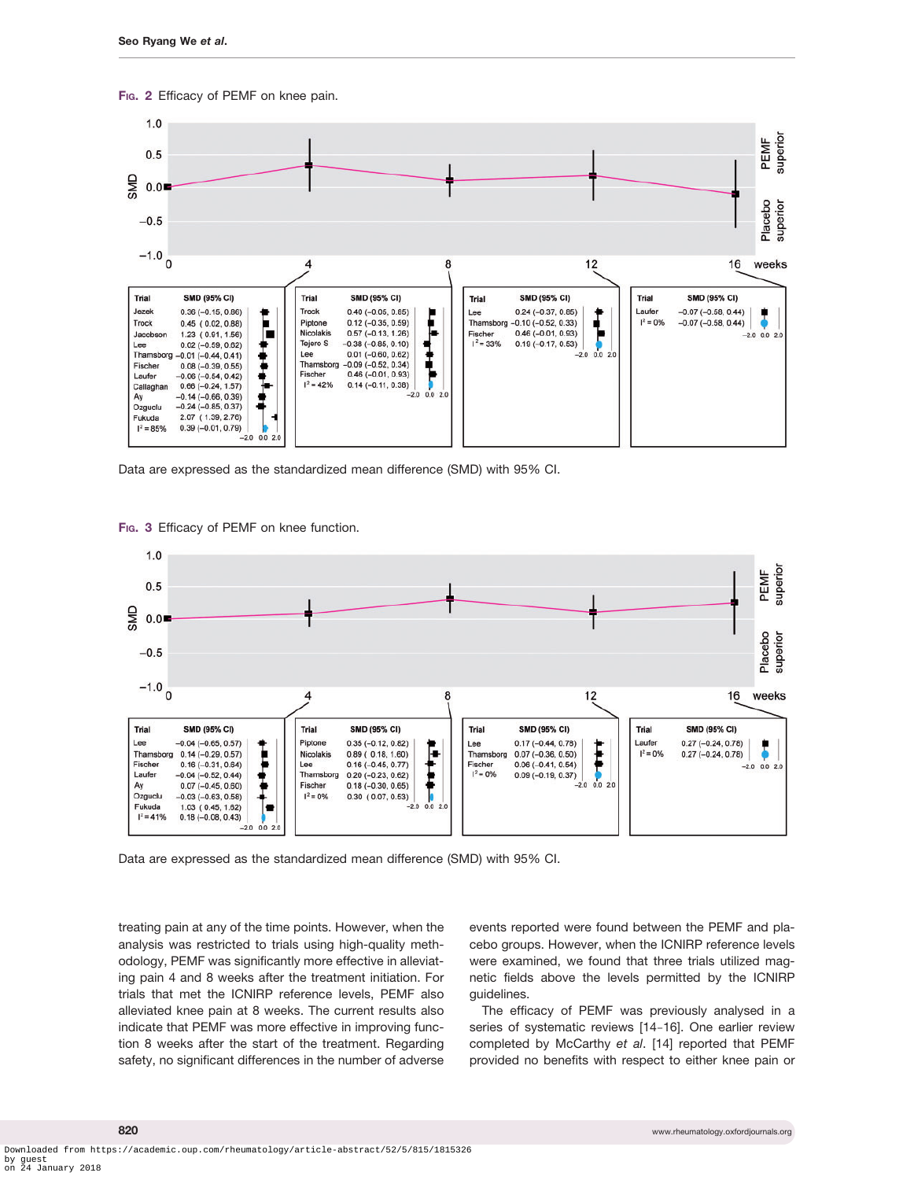#### Fig. 2 Efficacy of PEMF on knee pain.



Data are expressed as the standardized mean difference (SMD) with 95% CI.



Fig. 3 Efficacy of PEMF on knee function.

Data are expressed as the standardized mean difference (SMD) with 95% CI.

treating pain at any of the time points. However, when the analysis was restricted to trials using high-quality methodology, PEMF was significantly more effective in alleviating pain 4 and 8 weeks after the treatment initiation. For trials that met the ICNIRP reference levels, PEMF also alleviated knee pain at 8 weeks. The current results also indicate that PEMF was more effective in improving function 8 weeks after the start of the treatment. Regarding safety, no significant differences in the number of adverse

events reported were found between the PEMF and placebo groups. However, when the ICNIRP reference levels were examined, we found that three trials utilized magnetic fields above the levels permitted by the ICNIRP guidelines.

The efficacy of PEMF was previously analysed in a series of systematic reviews [[14](#page-8-0)-[16\]](#page-8-0). One earlier review completed by McCarthy et al. [\[14\]](#page-8-0) reported that PEMF provided no benefits with respect to either knee pain or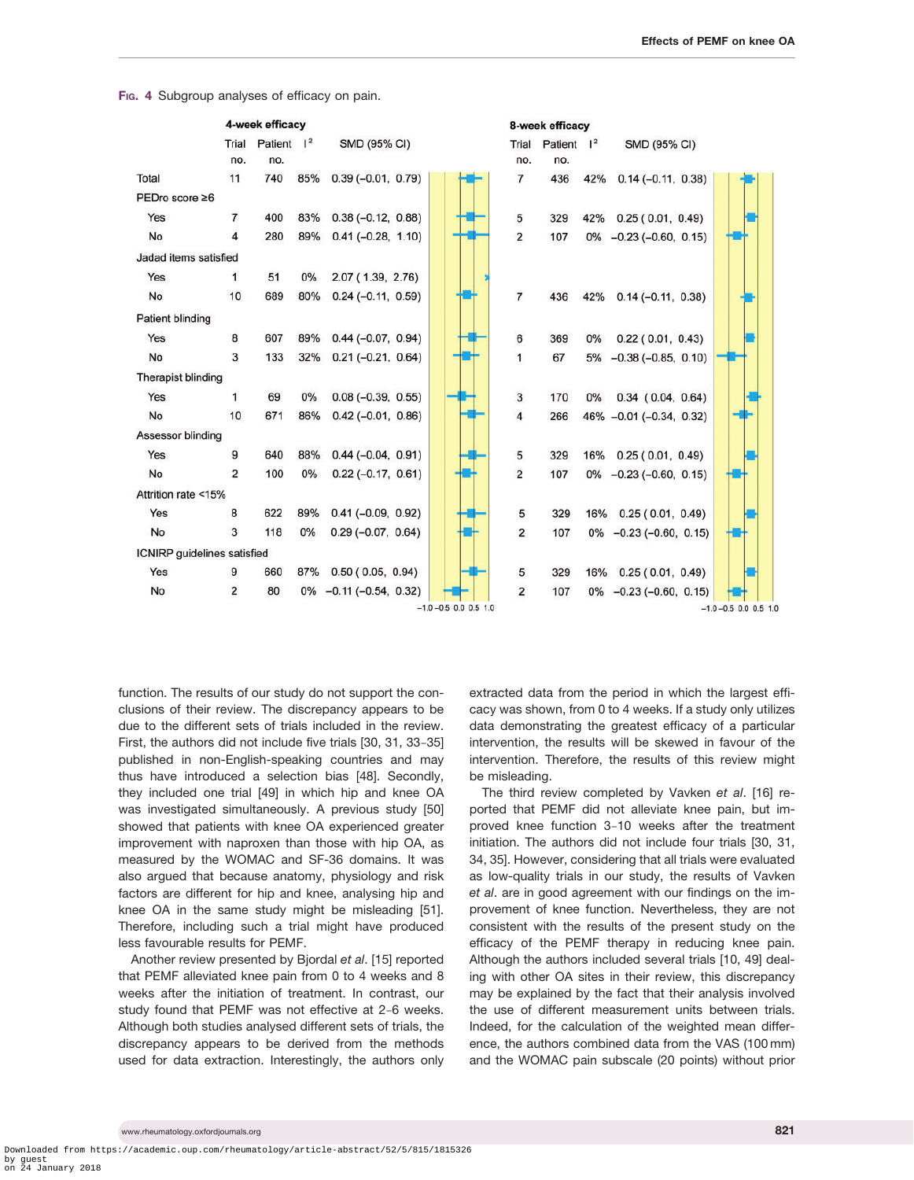#### <span id="page-6-0"></span>Fig. 4 Subgroup analyses of efficacy on pain.

|                                    | 4-week efficacy |               |       |                         |  |                          |                | 8-week efficacy |       |                          |                          |  |
|------------------------------------|-----------------|---------------|-------|-------------------------|--|--------------------------|----------------|-----------------|-------|--------------------------|--------------------------|--|
|                                    | Trial           | Patient $1^2$ |       | <b>SMD (95% CI)</b>     |  |                          | Trial          | Patient $1^2$   |       | SMD (95% CI)             |                          |  |
|                                    | no.             | no.           |       |                         |  |                          | no.            | no.             |       |                          |                          |  |
| Total                              | 11              | 740           | 85%   | $0.39(-0.01, 0.79)$     |  |                          | $\overline{7}$ | 436             | 42%   | $0.14 (-0.11, 0.38)$     |                          |  |
| PEDro score $\geq 6$               |                 |               |       |                         |  |                          |                |                 |       |                          |                          |  |
| Yes                                | 7               | 400           | 83%   | $0.38(-0.12, 0.88)$     |  |                          | 5              | 329             | 42%   | 0.25(0.01, 0.49)         |                          |  |
| No                                 | 4               | 280           | 89%   | $0.41 (-0.28, 1.10)$    |  |                          | $\overline{2}$ | 107             | 0%    | $-0.23(-0.60, 0.15)$     |                          |  |
| Jadad items satisfied              |                 |               |       |                         |  |                          |                |                 |       |                          |                          |  |
| Yes                                | 1               | 51            | 0%    | 2.07(1.39, 2.76)        |  |                          |                |                 |       |                          |                          |  |
| No                                 | 10              | 689           | 80%   | $0.24 (-0.11, 0.59)$    |  |                          | $\overline{7}$ | 436             | 42%   | $0.14 (-0.11, 0.38)$     |                          |  |
| <b>Patient blinding</b>            |                 |               |       |                         |  |                          |                |                 |       |                          |                          |  |
| Yes                                | 8               | 607           | 89%   | $0.44 (-0.07, 0.94)$    |  |                          | 6              | 369             | 0%    | 0.22(0.01, 0.43)         |                          |  |
| No                                 | 3               | 133           | 32%   | $0.21 (-0.21, 0.64)$    |  |                          | $\mathbf{1}$   | 67              | 5%    | $-0.38(-0.85, 0.10)$     |                          |  |
| <b>Therapist blinding</b>          |                 |               |       |                         |  |                          |                |                 |       |                          |                          |  |
| Yes                                | 1               | 69            | 0%    | $0.08 (-0.39, 0.55)$    |  |                          | 3              | 170             | $0\%$ | $0.34$ (0.04, 0.64)      |                          |  |
| No                                 | 10              | 671           | 86%   | $0.42$ (-0.01, 0.86)    |  |                          | $\overline{4}$ | 266             |       | 46% -0.01 (-0.34, 0.32)  |                          |  |
| Assessor blinding                  |                 |               |       |                         |  |                          |                |                 |       |                          |                          |  |
| Yes                                | 9               | 640           | 88%   | $0.44 (-0.04, 0.91)$    |  |                          | 5              | 329             |       | 16% 0.25 (0.01, 0.49)    |                          |  |
| No                                 | 2               | 100           | 0%    | $0.22 (-0.17, 0.61)$    |  |                          | $\overline{2}$ | 107             |       | $0\% -0.23(-0.60, 0.15)$ |                          |  |
| Attrition rate <15%                |                 |               |       |                         |  |                          |                |                 |       |                          |                          |  |
| Yes                                | 8               | 622           | 89%   | $0.41 (-0.09, 0.92)$    |  |                          | 5              | 329             |       | 16% 0.25 (0.01, 0.49)    |                          |  |
| No                                 | 3               | 118           | 0%    | $0.29(-0.07, 0.64)$     |  |                          | $\overline{2}$ | 107             |       | $0\% -0.23(-0.60, 0.15)$ |                          |  |
| <b>ICNIRP</b> guidelines satisfied |                 |               |       |                         |  |                          |                |                 |       |                          |                          |  |
| Yes                                | 9               | 660           | 87%   | 0.50(0.05, 0.94)        |  |                          | 5              | 329             |       | 16% 0.25 (0.01, 0.49)    |                          |  |
| No                                 | 2               | 80            | $0\%$ | $-0.11$ $(-0.54, 0.32)$ |  |                          | $\overline{2}$ | 107             | 0%    | $-0.23(-0.60, 0.15)$     |                          |  |
|                                    |                 |               |       |                         |  | $-1.0 - 0.5$ 0.0 0.5 1.0 |                |                 |       |                          | $-1.0 - 0.5$ 0.0 0.5 1.0 |  |

function. The results of our study do not support the conclusions of their review. The discrepancy appears to be due to the different sets of trials included in the review. First, the authors did not include five trials [[30](#page-8-0), [31, 33](#page-8-0)-[35](#page-8-0)] published in non-English-speaking countries and may thus have introduced a selection bias [[48](#page-9-0)]. Secondly, they included one trial [\[49\]](#page-9-0) in which hip and knee OA was investigated simultaneously. A previous study [\[50](#page-9-0)] showed that patients with knee OA experienced greater improvement with naproxen than those with hip OA, as measured by the WOMAC and SF-36 domains. It was also argued that because anatomy, physiology and risk factors are different for hip and knee, analysing hip and knee OA in the same study might be misleading [[51](#page-9-0)]. Therefore, including such a trial might have produced less favourable results for PEMF.

Another review presented by Bjordal et al. [\[15\]](#page-8-0) reported that PEMF alleviated knee pain from 0 to 4 weeks and 8 weeks after the initiation of treatment. In contrast, our study found that PEMF was not effective at 2-6 weeks. Although both studies analysed different sets of trials, the discrepancy appears to be derived from the methods used for data extraction. Interestingly, the authors only

extracted data from the period in which the largest efficacy was shown, from 0 to 4 weeks. If a study only utilizes data demonstrating the greatest efficacy of a particular intervention, the results will be skewed in favour of the intervention. Therefore, the results of this review might be misleading.

The third review completed by Vavken et al. [[16\]](#page-8-0) reported that PEMF did not alleviate knee pain, but improved knee function 3-10 weeks after the treatment initiation. The authors did not include four trials [[30](#page-8-0), [31,](#page-8-0) [34, 35\]](#page-8-0). However, considering that all trials were evaluated as low-quality trials in our study, the results of Vavken et al. are in good agreement with our findings on the improvement of knee function. Nevertheless, they are not consistent with the results of the present study on the efficacy of the PEMF therapy in reducing knee pain. Although the authors included several trials [[10](#page-8-0), [49\]](#page-9-0) dealing with other OA sites in their review, this discrepancy may be explained by the fact that their analysis involved the use of different measurement units between trials. Indeed, for the calculation of the weighted mean difference, the authors combined data from the VAS (100 mm) and the WOMAC pain subscale (20 points) without prior

Downloaded from https://academic.oup.com/rheumatology/article-abstract/52/5/815/1815326 by guest on 24 January 2018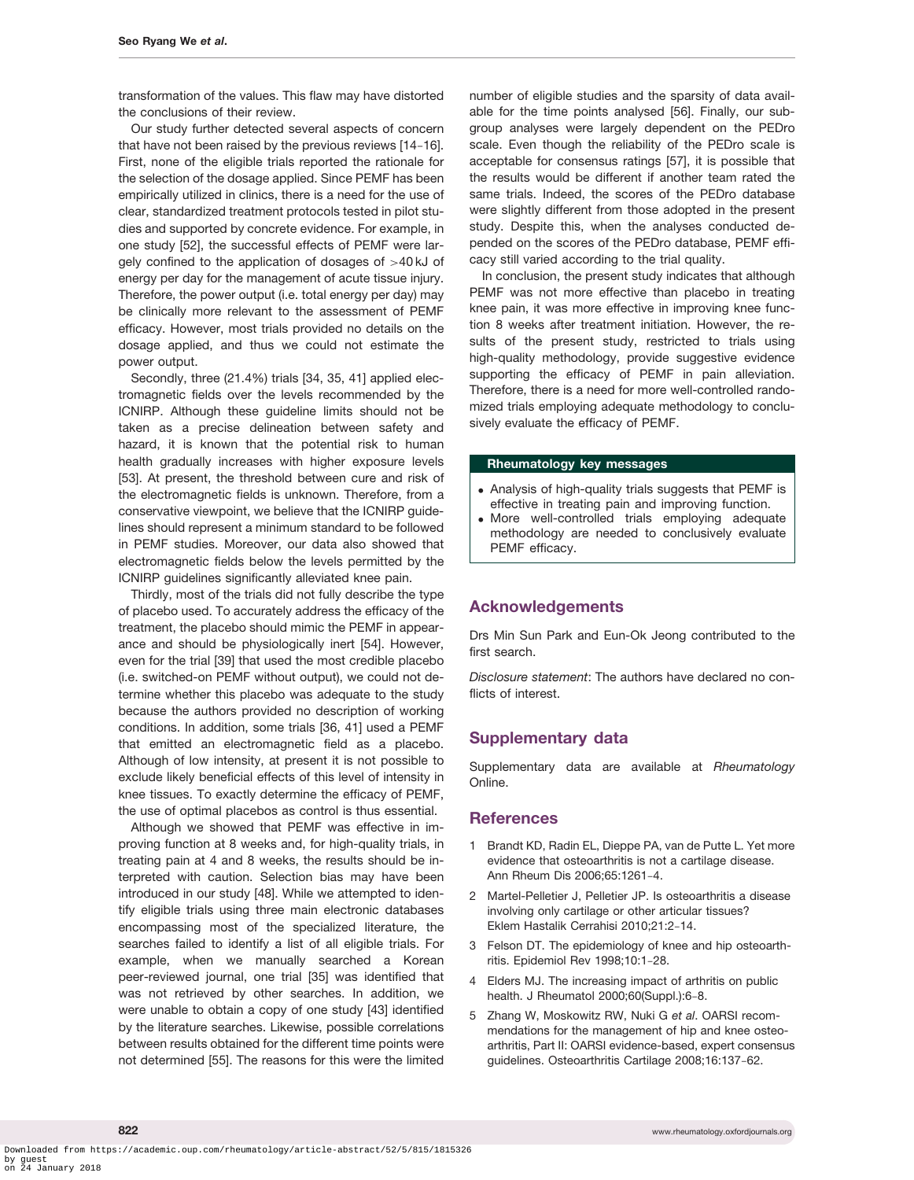<span id="page-7-0"></span>transformation of the values. This flaw may have distorted the conclusions of their review.

Our study further detected several aspects of concern that have not been raised by the previous reviews [\[14](#page-8-0)-[16](#page-8-0)]. First, none of the eligible trials reported the rationale for the selection of the dosage applied. Since PEMF has been empirically utilized in clinics, there is a need for the use of clear, standardized treatment protocols tested in pilot studies and supported by concrete evidence. For example, in one study [[52](#page-9-0)], the successful effects of PEMF were largely confined to the application of dosages of >40 kJ of energy per day for the management of acute tissue injury. Therefore, the power output (i.e. total energy per day) may be clinically more relevant to the assessment of PEMF efficacy. However, most trials provided no details on the dosage applied, and thus we could not estimate the power output.

Secondly, three (21.4%) trials [\[34](#page-8-0), [35,](#page-8-0) [41](#page-9-0)] applied electromagnetic fields over the levels recommended by the ICNIRP. Although these guideline limits should not be taken as a precise delineation between safety and hazard, it is known that the potential risk to human health gradually increases with higher exposure levels [[53\]](#page-9-0). At present, the threshold between cure and risk of the electromagnetic fields is unknown. Therefore, from a conservative viewpoint, we believe that the ICNIRP guidelines should represent a minimum standard to be followed in PEMF studies. Moreover, our data also showed that electromagnetic fields below the levels permitted by the ICNIRP guidelines significantly alleviated knee pain.

Thirdly, most of the trials did not fully describe the type of placebo used. To accurately address the efficacy of the treatment, the placebo should mimic the PEMF in appearance and should be physiologically inert [[54](#page-9-0)]. However, even for the trial [[39](#page-9-0)] that used the most credible placebo (i.e. switched-on PEMF without output), we could not determine whether this placebo was adequate to the study because the authors provided no description of working conditions. In addition, some trials [[36,](#page-8-0) [41\]](#page-9-0) used a PEMF that emitted an electromagnetic field as a placebo. Although of low intensity, at present it is not possible to exclude likely beneficial effects of this level of intensity in knee tissues. To exactly determine the efficacy of PEMF, the use of optimal placebos as control is thus essential.

Although we showed that PEMF was effective in improving function at 8 weeks and, for high-quality trials, in treating pain at 4 and 8 weeks, the results should be interpreted with caution. Selection bias may have been introduced in our study [[48](#page-9-0)]. While we attempted to identify eligible trials using three main electronic databases encompassing most of the specialized literature, the searches failed to identify a list of all eligible trials. For example, when we manually searched a Korean peer-reviewed journal, one trial [[35](#page-8-0)] was identified that was not retrieved by other searches. In addition, we were unable to obtain a copy of one study [[43\]](#page-9-0) identified by the literature searches. Likewise, possible correlations between results obtained for the different time points were not determined [\[55](#page-9-0)]. The reasons for this were the limited

number of eligible studies and the sparsity of data available for the time points analysed [[56\]](#page-9-0). Finally, our subgroup analyses were largely dependent on the PEDro scale. Even though the reliability of the PEDro scale is acceptable for consensus ratings [[57](#page-9-0)], it is possible that the results would be different if another team rated the same trials. Indeed, the scores of the PEDro database were slightly different from those adopted in the present study. Despite this, when the analyses conducted depended on the scores of the PEDro database, PEMF efficacy still varied according to the trial quality.

In conclusion, the present study indicates that although PEMF was not more effective than placebo in treating knee pain, it was more effective in improving knee function 8 weeks after treatment initiation. However, the results of the present study, restricted to trials using high-quality methodology, provide suggestive evidence supporting the efficacy of PEMF in pain alleviation. Therefore, there is a need for more well-controlled randomized trials employing adequate methodology to conclusively evaluate the efficacy of PEMF.

#### Rheumatology key messages

- . Analysis of high-quality trials suggests that PEMF is effective in treating pain and improving function.
- . More well-controlled trials employing adequate methodology are needed to conclusively evaluate PEMF efficacy.

#### Acknowledgements

Drs Min Sun Park and Eun-Ok Jeong contributed to the first search.

Disclosure statement: The authors have declared no conflicts of interest.

#### Supplementary data

[Supplementary data](http://rheumatology.oxfordjournals.org/cgi/content/full/kes063/DC1) are available at Rheumatology Online.

#### **References**

- 1 Brandt KD, Radin EL, Dieppe PA, van de Putte L. Yet more evidence that osteoarthritis is not a cartilage disease. Ann Rheum Dis 2006;65:1261-4.
- 2 Martel-Pelletier J, Pelletier JP. Is osteoarthritis a disease involving only cartilage or other articular tissues? Eklem Hastalik Cerrahisi 2010;21:2-14.
- 3 Felson DT. The epidemiology of knee and hip osteoarthritis. Epidemiol Rev 1998;10:1-28.
- 4 Elders MJ. The increasing impact of arthritis on public health. J Rheumatol 2000;60(Suppl.):6-8.
- 5 Zhang W, Moskowitz RW, Nuki G et al. OARSI recommendations for the management of hip and knee osteoarthritis, Part II: OARSI evidence-based, expert consensus guidelines. Osteoarthritis Cartilage 2008;16:137-62.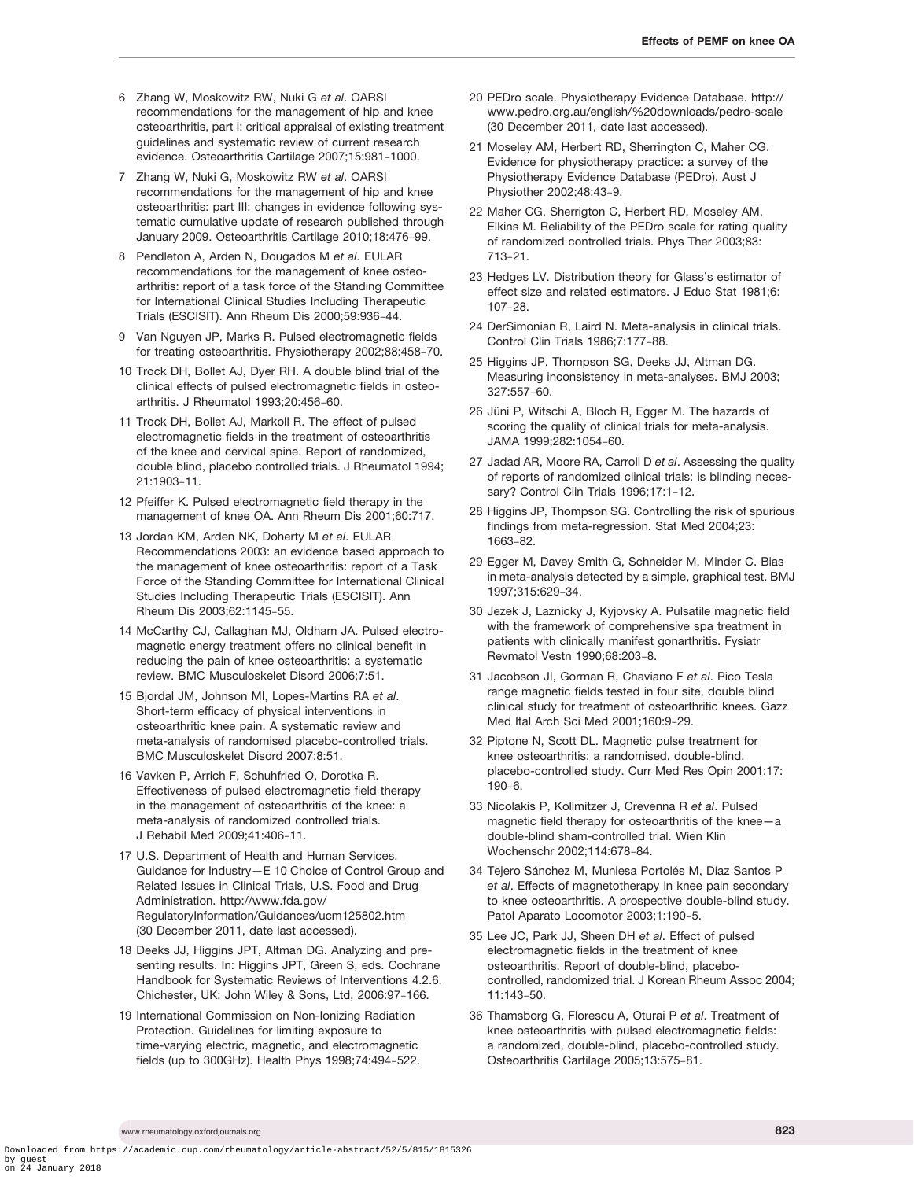- <span id="page-8-0"></span>6 Zhang W, Moskowitz RW, Nuki G et al. OARSI recommendations for the management of hip and knee osteoarthritis, part I: critical appraisal of existing treatment guidelines and systematic review of current research evidence. Osteoarthritis Cartilage 2007;15:981-1000.
- 7 Zhang W, Nuki G, Moskowitz RW et al. OARSI recommendations for the management of hip and knee osteoarthritis: part III: changes in evidence following systematic cumulative update of research published through January 2009. Osteoarthritis Cartilage 2010;18:476-99.
- 8 Pendleton A, Arden N, Dougados M et al. EULAR recommendations for the management of knee osteoarthritis: report of a task force of the Standing Committee for International Clinical Studies Including Therapeutic Trials (ESCISIT). Ann Rheum Dis 2000;59:936-44.
- 9 Van Nguyen JP, Marks R. Pulsed electromagnetic fields for treating osteoarthritis. Physiotherapy 2002;88:458-70.
- 10 Trock DH, Bollet AJ, Dyer RH. A double blind trial of the clinical effects of pulsed electromagnetic fields in osteoarthritis. J Rheumatol 1993;20:456-60.
- 11 Trock DH, Bollet AJ, Markoll R. The effect of pulsed electromagnetic fields in the treatment of osteoarthritis of the knee and cervical spine. Report of randomized, double blind, placebo controlled trials. J Rheumatol 1994; 21:1903-11.
- 12 Pfeiffer K. Pulsed electromagnetic field therapy in the management of knee OA. Ann Rheum Dis 2001;60:717.
- 13 Jordan KM, Arden NK, Doherty M et al. EULAR Recommendations 2003: an evidence based approach to the management of knee osteoarthritis: report of a Task Force of the Standing Committee for International Clinical Studies Including Therapeutic Trials (ESCISIT). Ann Rheum Dis 2003;62:1145-55.
- 14 McCarthy CJ, Callaghan MJ, Oldham JA. Pulsed electromagnetic energy treatment offers no clinical benefit in reducing the pain of knee osteoarthritis: a systematic review. BMC Musculoskelet Disord 2006;7:51.
- 15 Bjordal JM, Johnson MI, Lopes-Martins RA et al. Short-term efficacy of physical interventions in osteoarthritic knee pain. A systematic review and meta-analysis of randomised placebo-controlled trials. BMC Musculoskelet Disord 2007;8:51.
- 16 Vavken P, Arrich F, Schuhfried O, Dorotka R. Effectiveness of pulsed electromagnetic field therapy in the management of osteoarthritis of the knee: a meta-analysis of randomized controlled trials. J Rehabil Med 2009;41:406-11.
- 17 U.S. Department of Health and Human Services. Guidance for Industry—E 10 Choice of Control Group and Related Issues in Clinical Trials, U.S. Food and Drug Administration. [http://www.fda.gov/](http://www.fda.gov/RegulatoryInformation/Guidances/ucm125802.htm) [RegulatoryInformation/Guidances/ucm125802.htm](http://www.fda.gov/RegulatoryInformation/Guidances/ucm125802.htm) (30 December 2011, date last accessed).
- 18 Deeks JJ, Higgins JPT, Altman DG. Analyzing and presenting results. In: Higgins JPT, Green S, eds. Cochrane Handbook for Systematic Reviews of Interventions 4.2.6. Chichester, UK: John Wiley & Sons, Ltd, 2006:97-166.
- 19 International Commission on Non-Ionizing Radiation Protection. Guidelines for limiting exposure to time-varying electric, magnetic, and electromagnetic fields (up to 300GHz). Health Phys 1998;74:494-522.
- 20 PEDro scale. Physiotherapy Evidence Database. [http://](http://www.pedro.org.au/english/20downloads/pedro-scale) [www.pedro.org.au/english/%20downloads/pedro-scale](http://www.pedro.org.au/english/20downloads/pedro-scale) (30 December 2011, date last accessed).
- 21 Moseley AM, Herbert RD, Sherrington C, Maher CG. Evidence for physiotherapy practice: a survey of the Physiotherapy Evidence Database (PEDro). Aust J Physiother 2002;48:43-9.
- 22 Maher CG, Sherrigton C, Herbert RD, Moseley AM, Elkins M. Reliability of the PEDro scale for rating quality of randomized controlled trials. Phys Ther 2003;83: 713-21.
- 23 Hedges LV. Distribution theory for Glass's estimator of effect size and related estimators. J Educ Stat 1981;6: 107-28.
- 24 DerSimonian R, Laird N. Meta-analysis in clinical trials. Control Clin Trials 1986;7:177-88.
- 25 Higgins JP, Thompson SG, Deeks JJ, Altman DG. Measuring inconsistency in meta-analyses. BMJ 2003; 327:557-60.
- 26 Jüni P, Witschi A, Bloch R, Egger M. The hazards of scoring the quality of clinical trials for meta-analysis. JAMA 1999;282:1054-60.
- 27 Jadad AR, Moore RA, Carroll D et al. Assessing the quality of reports of randomized clinical trials: is blinding necessary? Control Clin Trials 1996;17:1-12.
- 28 Higgins JP, Thompson SG. Controlling the risk of spurious findings from meta-regression. Stat Med 2004;23: 1663-82.
- 29 Egger M, Davey Smith G, Schneider M, Minder C. Bias in meta-analysis detected by a simple, graphical test. BMJ 1997;315:629-34.
- 30 Jezek J, Laznicky J, Kyjovsky A. Pulsatile magnetic field with the framework of comprehensive spa treatment in patients with clinically manifest gonarthritis. Fysiatr Revmatol Vestn 1990;68:203-8.
- 31 Jacobson JI, Gorman R, Chaviano F et al. Pico Tesla range magnetic fields tested in four site, double blind clinical study for treatment of osteoarthritic knees. Gazz Med Ital Arch Sci Med 2001;160:9-29.
- 32 Piptone N, Scott DL. Magnetic pulse treatment for knee osteoarthritis: a randomised, double-blind, placebo-controlled study. Curr Med Res Opin 2001;17: 190-6.
- 33 Nicolakis P, Kollmitzer J, Crevenna R et al. Pulsed magnetic field therapy for osteoarthritis of the knee—a double-blind sham-controlled trial. Wien Klin Wochenschr 2002;114:678-84.
- 34 Tejero Sánchez M, Muniesa Portolés M, Díaz Santos P et al. Effects of magnetotherapy in knee pain secondary to knee osteoarthritis. A prospective double-blind study. Patol Aparato Locomotor 2003;1:190-5.
- 35 Lee JC, Park JJ, Sheen DH et al. Effect of pulsed electromagnetic fields in the treatment of knee osteoarthritis. Report of double-blind, placebocontrolled, randomized trial. J Korean Rheum Assoc 2004; 11:143-50.
- 36 Thamsborg G, Florescu A, Oturai P et al. Treatment of knee osteoarthritis with pulsed electromagnetic fields: a randomized, double-blind, placebo-controlled study. Osteoarthritis Cartilage 2005;13:575-81.